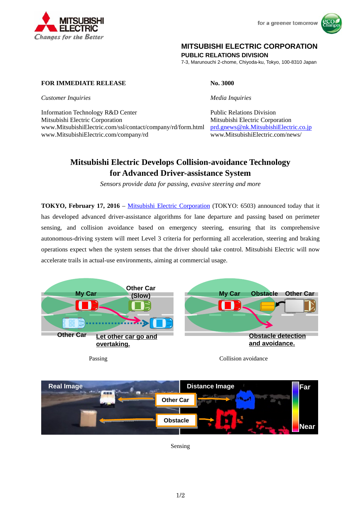

for a greener tomorrow



## **MITSUBISHI ELECTRIC CORPORATION**

**PUBLIC RELATIONS DIVISION** 

7-3, Marunouchi 2-chome, Chiyoda-ku, Tokyo, 100-8310 Japan

## **FOR IMMEDIATE RELEASE No. 3000**

*Customer Inquiries Media Inquiries*

Information Technology R&D Center Public Relations Division Mitsubishi Electric Corporation Mitsubishi Electric Corporation www.MitsubishiElectric.com/ssl/contact/company/rd/form.html prd.gnews@nk.MitsubishiElectric.co.jp www.MitsubishiElectric.com/company/rd www.MitsubishiElectric.com/news/

# **Mitsubishi Electric Develops Collision-avoidance Technology for Advanced Driver-assistance System**

*Sensors provide data for passing, evasive steering and more* 

**TOKYO, February 17, 2016** – Mitsubishi Electric Corporation (TOKYO: 6503) announced today that it has developed advanced driver-assistance algorithms for lane departure and passing based on perimeter sensing, and collision avoidance based on emergency steering, ensuring that its comprehensive autonomous-driving system will meet Level 3 criteria for performing all acceleration, steering and braking operations expect when the system senses that the driver should take control. Mitsubishi Electric will now accelerate trails in actual-use environments, aiming at commercial usage.



**Obstacle Real Image Distance Image Other Car Far Near**

Sensing